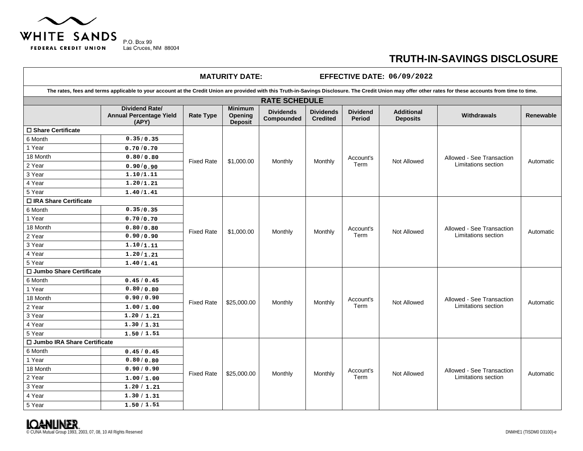

ा

## **TRUTH-IN-SAVINGS DISCLOSURE**

| <b>MATURITY DATE:</b><br><b>EFFECTIVE DATE: 06/09/2022</b>                                                                                                                                                |                                                                  |                   |                                             |                                |                                     |                           |                                      |                                                  |           |  |
|-----------------------------------------------------------------------------------------------------------------------------------------------------------------------------------------------------------|------------------------------------------------------------------|-------------------|---------------------------------------------|--------------------------------|-------------------------------------|---------------------------|--------------------------------------|--------------------------------------------------|-----------|--|
| The rates, fees and terms applicable to your account at the Credit Union are provided with this Truth-in-Savings Disclosure. The Credit Union may offer other rates for these accounts from time to time. |                                                                  |                   |                                             |                                |                                     |                           |                                      |                                                  |           |  |
| <b>RATE SCHEDULE</b>                                                                                                                                                                                      |                                                                  |                   |                                             |                                |                                     |                           |                                      |                                                  |           |  |
|                                                                                                                                                                                                           | <b>Dividend Rate/</b><br><b>Annual Percentage Yield</b><br>(APY) | <b>Rate Type</b>  | <b>Minimum</b><br>Opening<br><b>Deposit</b> | <b>Dividends</b><br>Compounded | <b>Dividends</b><br><b>Credited</b> | <b>Dividend</b><br>Period | <b>Additional</b><br><b>Deposits</b> | <b>Withdrawals</b>                               | Renewable |  |
| □ Share Certificate                                                                                                                                                                                       |                                                                  | <b>Fixed Rate</b> | \$1,000.00                                  | Monthly                        | Monthly                             | Account's<br>Term         | <b>Not Allowed</b>                   | Allowed - See Transaction<br>Limitations section | Automatic |  |
| 6 Month                                                                                                                                                                                                   | 0.35/0.35                                                        |                   |                                             |                                |                                     |                           |                                      |                                                  |           |  |
| 1 Year                                                                                                                                                                                                    | 0.70/0.70                                                        |                   |                                             |                                |                                     |                           |                                      |                                                  |           |  |
| 18 Month                                                                                                                                                                                                  | 0.80/0.80                                                        |                   |                                             |                                |                                     |                           |                                      |                                                  |           |  |
| 2 Year                                                                                                                                                                                                    | 0.90/0.90                                                        |                   |                                             |                                |                                     |                           |                                      |                                                  |           |  |
| 3 Year                                                                                                                                                                                                    | 1.10/1.11                                                        |                   |                                             |                                |                                     |                           |                                      |                                                  |           |  |
| 4 Year                                                                                                                                                                                                    | 1.20/1.21                                                        |                   |                                             |                                |                                     |                           |                                      |                                                  |           |  |
| 5 Year                                                                                                                                                                                                    | 1.40/1.41                                                        |                   |                                             |                                |                                     |                           |                                      |                                                  |           |  |
| □ IRA Share Certificate                                                                                                                                                                                   |                                                                  |                   |                                             |                                |                                     |                           |                                      |                                                  |           |  |
| 6 Month                                                                                                                                                                                                   | 0.35/0.35                                                        | <b>Fixed Rate</b> | \$1,000.00                                  | Monthly                        | Monthly                             | Account's<br>Term         | Not Allowed                          | Allowed - See Transaction<br>Limitations section | Automatic |  |
| 1 Year                                                                                                                                                                                                    | 0.70/0.70                                                        |                   |                                             |                                |                                     |                           |                                      |                                                  |           |  |
| 18 Month                                                                                                                                                                                                  | 0.80/0.80                                                        |                   |                                             |                                |                                     |                           |                                      |                                                  |           |  |
| 2 Year                                                                                                                                                                                                    | 0.90/0.90                                                        |                   |                                             |                                |                                     |                           |                                      |                                                  |           |  |
| 3 Year                                                                                                                                                                                                    | 1.10/1.11                                                        |                   |                                             |                                |                                     |                           |                                      |                                                  |           |  |
| 4 Year                                                                                                                                                                                                    | 1.20/1.21                                                        |                   |                                             |                                |                                     |                           |                                      |                                                  |           |  |
| 5 Year                                                                                                                                                                                                    | 1.40/1.41                                                        |                   |                                             |                                |                                     |                           |                                      |                                                  |           |  |
| □ Jumbo Share Certificate                                                                                                                                                                                 |                                                                  |                   |                                             |                                |                                     |                           |                                      |                                                  |           |  |
| 6 Month                                                                                                                                                                                                   | 0.45/0.45                                                        | <b>Fixed Rate</b> | \$25,000.00                                 | Monthly                        | Monthly                             | Account's<br>Term         | Not Allowed                          | Allowed - See Transaction<br>Limitations section | Automatic |  |
| 1 Year                                                                                                                                                                                                    | 0.80/0.80                                                        |                   |                                             |                                |                                     |                           |                                      |                                                  |           |  |
| 18 Month                                                                                                                                                                                                  | 0.90/0.90                                                        |                   |                                             |                                |                                     |                           |                                      |                                                  |           |  |
| 2 Year                                                                                                                                                                                                    | 1.00/1.00                                                        |                   |                                             |                                |                                     |                           |                                      |                                                  |           |  |
| 3 Year                                                                                                                                                                                                    | 1.20 / 1.21                                                      |                   |                                             |                                |                                     |                           |                                      |                                                  |           |  |
| 4 Year                                                                                                                                                                                                    | 1.30 / 1.31                                                      |                   |                                             |                                |                                     |                           |                                      |                                                  |           |  |
| 5 Year                                                                                                                                                                                                    | 1.50 / 1.51                                                      |                   |                                             |                                |                                     |                           |                                      |                                                  |           |  |
| □ Jumbo IRA Share Certificate                                                                                                                                                                             |                                                                  |                   |                                             |                                |                                     |                           |                                      |                                                  |           |  |
| 6 Month                                                                                                                                                                                                   | 0.45/0.45                                                        | <b>Fixed Rate</b> | \$25,000.00                                 | Monthly                        | Monthly                             | Account's<br>Term         | <b>Not Allowed</b>                   | Allowed - See Transaction<br>Limitations section | Automatic |  |
| 1 Year                                                                                                                                                                                                    | 0.80 / 0.80                                                      |                   |                                             |                                |                                     |                           |                                      |                                                  |           |  |
| 18 Month                                                                                                                                                                                                  | 0.90 / 0.90                                                      |                   |                                             |                                |                                     |                           |                                      |                                                  |           |  |
| 2 Year                                                                                                                                                                                                    | 1.00/1.00                                                        |                   |                                             |                                |                                     |                           |                                      |                                                  |           |  |
| 3 Year                                                                                                                                                                                                    | 1.20 / 1.21                                                      |                   |                                             |                                |                                     |                           |                                      |                                                  |           |  |
| 4 Year                                                                                                                                                                                                    | 1.30 / 1.31                                                      |                   |                                             |                                |                                     |                           |                                      |                                                  |           |  |
| 5 Year                                                                                                                                                                                                    | 1.50 / 1.51                                                      |                   |                                             |                                |                                     |                           |                                      |                                                  |           |  |